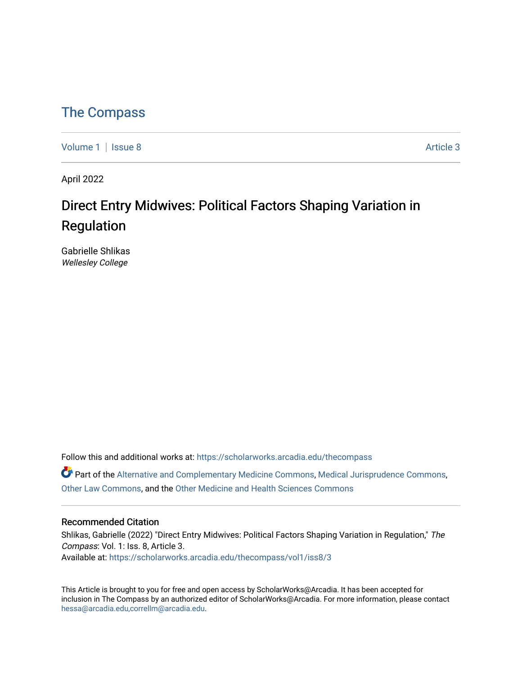## [The Compass](https://scholarworks.arcadia.edu/thecompass)

[Volume 1](https://scholarworks.arcadia.edu/thecompass/vol1) | [Issue 8](https://scholarworks.arcadia.edu/thecompass/vol1/iss8) Article 3

April 2022

## Direct Entry Midwives: Political Factors Shaping Variation in Regulation

Gabrielle Shlikas Wellesley College

Follow this and additional works at: [https://scholarworks.arcadia.edu/thecompass](https://scholarworks.arcadia.edu/thecompass?utm_source=scholarworks.arcadia.edu%2Fthecompass%2Fvol1%2Fiss8%2F3&utm_medium=PDF&utm_campaign=PDFCoverPages) 

Part of the [Alternative and Complementary Medicine Commons,](http://network.bepress.com/hgg/discipline/649?utm_source=scholarworks.arcadia.edu%2Fthecompass%2Fvol1%2Fiss8%2F3&utm_medium=PDF&utm_campaign=PDFCoverPages) [Medical Jurisprudence Commons](http://network.bepress.com/hgg/discipline/860?utm_source=scholarworks.arcadia.edu%2Fthecompass%2Fvol1%2Fiss8%2F3&utm_medium=PDF&utm_campaign=PDFCoverPages), [Other Law Commons,](http://network.bepress.com/hgg/discipline/621?utm_source=scholarworks.arcadia.edu%2Fthecompass%2Fvol1%2Fiss8%2F3&utm_medium=PDF&utm_campaign=PDFCoverPages) and the [Other Medicine and Health Sciences Commons](http://network.bepress.com/hgg/discipline/772?utm_source=scholarworks.arcadia.edu%2Fthecompass%2Fvol1%2Fiss8%2F3&utm_medium=PDF&utm_campaign=PDFCoverPages) 

#### Recommended Citation

Shlikas, Gabrielle (2022) "Direct Entry Midwives: Political Factors Shaping Variation in Regulation," The Compass: Vol. 1: Iss. 8, Article 3. Available at: [https://scholarworks.arcadia.edu/thecompass/vol1/iss8/3](https://scholarworks.arcadia.edu/thecompass/vol1/iss8/3?utm_source=scholarworks.arcadia.edu%2Fthecompass%2Fvol1%2Fiss8%2F3&utm_medium=PDF&utm_campaign=PDFCoverPages)

This Article is brought to you for free and open access by ScholarWorks@Arcadia. It has been accepted for inclusion in The Compass by an authorized editor of ScholarWorks@Arcadia. For more information, please contact [hessa@arcadia.edu,correllm@arcadia.edu](mailto:hessa@arcadia.edu,correllm@arcadia.edu).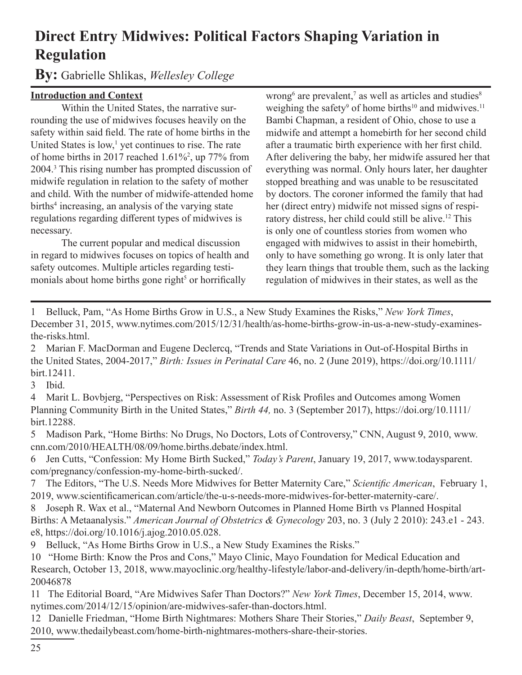# **Direct Entry Midwives: Political Factors Shaping Variation in Regulation**

**By:** Gabrielle Shlikas, *Wellesley College*

### **Introduction and Context**

Within the United States, the narrative surrounding the use of midwives focuses heavily on the safety within said field. The rate of home births in the United States is low,<sup>1</sup> yet continues to rise. The rate of home births in 2017 reached 1.61%<sup>2</sup> , up 77% from 2004.<sup>3</sup> This rising number has prompted discussion of midwife regulation in relation to the safety of mother and child. With the number of midwife-attended home births<sup>4</sup> increasing, an analysis of the varying state regulations regarding different types of midwives is necessary.

The current popular and medical discussion in regard to midwives focuses on topics of health and safety outcomes. Multiple articles regarding testimonials about home births gone right<sup>5</sup> or horrifically

wrong $^6$  are prevalent, $^7$  as well as articles and studies $^8$ weighing the safety<sup>9</sup> of home births<sup>10</sup> and midwives.<sup>11</sup> Bambi Chapman, a resident of Ohio, chose to use a midwife and attempt a homebirth for her second child after a traumatic birth experience with her first child. After delivering the baby, her midwife assured her that everything was normal. Only hours later, her daughter stopped breathing and was unable to be resuscitated by doctors. The coroner informed the family that had her (direct entry) midwife not missed signs of respiratory distress, her child could still be alive.<sup>12</sup> This is only one of countless stories from women who engaged with midwives to assist in their homebirth, only to have something go wrong. It is only later that they learn things that trouble them, such as the lacking regulation of midwives in their states, as well as the

1 Belluck, Pam, "As Home Births Grow in U.S., a New Study Examines the Risks," *New York Times*, December 31, 2015, www.nytimes.com/2015/12/31/health/as-home-births-grow-in-us-a-new-study-examinesthe-risks.html.

2 Marian F. MacDorman and Eugene Declercq, "Trends and State Variations in Out-of-Hospital Births in the United States, 2004-2017," *Birth: Issues in Perinatal Care* 46, no. 2 (June 2019), https://doi.org/10.1111/ birt.12411.

3 Ibid.

4 Marit L. Bovbjerg, "Perspectives on Risk: Assessment of Risk Profiles and Outcomes among Women Planning Community Birth in the United States," *Birth 44,* no. 3 (September 2017), https://doi.org/10.1111/ birt.12288.

5 Madison Park, "Home Births: No Drugs, No Doctors, Lots of Controversy," CNN, August 9, 2010, www. cnn.com/2010/HEALTH/08/09/home.births.debate/index.html.

6 Jen Cutts, "Confession: My Home Birth Sucked," *Today's Parent*, January 19, 2017, www.todaysparent. com/pregnancy/confession-my-home-birth-sucked/.

7 The Editors, "The U.S. Needs More Midwives for Better Maternity Care," *Scientific American*, February 1, 2019, www.scientificamerican.com/article/the-u-s-needs-more-midwives-for-better-maternity-care/.

8 Joseph R. Wax et al., "Maternal And Newborn Outcomes in Planned Home Birth vs Planned Hospital Births: A Metaanalysis." *American Journal of Obstetrics & Gynecology* 203, no. 3 (July 2 2010): 243.e1 - 243. e8, https://doi.org/10.1016/j.ajog.2010.05.028.

9 Belluck, "As Home Births Grow in U.S., a New Study Examines the Risks."

10 "Home Birth: Know the Pros and Cons," Mayo Clinic, Mayo Foundation for Medical Education and Research, October 13, 2018, www.mayoclinic.org/healthy-lifestyle/labor-and-delivery/in-depth/home-birth/art-20046878

11 The Editorial Board, "Are Midwives Safer Than Doctors?" *New York Times*, December 15, 2014, www. nytimes.com/2014/12/15/opinion/are-midwives-safer-than-doctors.html.

12 Danielle Friedman, "Home Birth Nightmares: Mothers Share Their Stories," *Daily Beast*, September 9, 2010, www.thedailybeast.com/home-birth-nightmares-mothers-share-their-stories.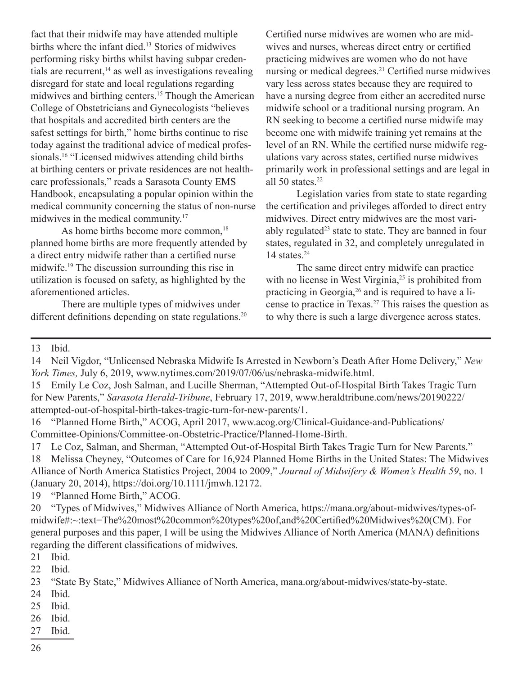fact that their midwife may have attended multiple births where the infant died.<sup>13</sup> Stories of midwives performing risky births whilst having subpar credentials are recurrent, $14$  as well as investigations revealing disregard for state and local regulations regarding midwives and birthing centers.<sup>15</sup> Though the American College of Obstetricians and Gynecologists "believes that hospitals and accredited birth centers are the safest settings for birth," home births continue to rise today against the traditional advice of medical professionals.16 "Licensed midwives attending child births at birthing centers or private residences are not healthcare professionals," reads a Sarasota County EMS Handbook, encapsulating a popular opinion within the medical community concerning the status of non-nurse midwives in the medical community.<sup>17</sup>

As home births become more common,<sup>18</sup> planned home births are more frequently attended by a direct entry midwife rather than a certified nurse midwife.19 The discussion surrounding this rise in utilization is focused on safety, as highlighted by the aforementioned articles.

There are multiple types of midwives under different definitions depending on state regulations.<sup>20</sup>

Certified nurse midwives are women who are midwives and nurses, whereas direct entry or certified practicing midwives are women who do not have nursing or medical degrees.<sup>21</sup> Certified nurse midwives vary less across states because they are required to have a nursing degree from either an accredited nurse midwife school or a traditional nursing program. An RN seeking to become a certified nurse midwife may become one with midwife training yet remains at the level of an RN. While the certified nurse midwife regulations vary across states, certified nurse midwives primarily work in professional settings and are legal in all  $50$  states.<sup>22</sup>

Legislation varies from state to state regarding the certification and privileges afforded to direct entry midwives. Direct entry midwives are the most variably regulated<sup>23</sup> state to state. They are banned in four states, regulated in 32, and completely unregulated in 14 states.<sup>24</sup>

The same direct entry midwife can practice with no license in West Virginia,<sup>25</sup> is prohibited from practicing in Georgia,<sup>26</sup> and is required to have a license to practice in Texas.<sup>27</sup> This raises the question as to why there is such a large divergence across states.

13 Ibid.

19 "Planned Home Birth," ACOG.

20 "Types of Midwives," Midwives Alliance of North America, https://mana.org/about-midwives/types-ofmidwife#:~:text=The%20most%20common%20types%20of,and%20Certified%20Midwives%20(CM). For general purposes and this paper, I will be using the Midwives Alliance of North America (MANA) definitions regarding the different classifications of midwives.

21 Ibid.

22 Ibid.

- 24 Ibid.
- 25 Ibid.
- 26 Ibid.
- 27 Ibid.

<sup>14</sup> Neil Vigdor, "Unlicensed Nebraska Midwife Is Arrested in Newborn's Death After Home Delivery," *New York Times,* July 6, 2019, www.nytimes.com/2019/07/06/us/nebraska-midwife.html.

<sup>15</sup> Emily Le Coz, Josh Salman, and Lucille Sherman, "Attempted Out-of-Hospital Birth Takes Tragic Turn for New Parents," *Sarasota Herald-Tribune*, February 17, 2019, www.heraldtribune.com/news/20190222/ attempted-out-of-hospital-birth-takes-tragic-turn-for-new-parents/1.

<sup>16</sup> "Planned Home Birth," ACOG, April 2017, www.acog.org/Clinical-Guidance-and-Publications/ Committee-Opinions/Committee-on-Obstetric-Practice/Planned-Home-Birth.

<sup>17</sup> Le Coz, Salman, and Sherman, "Attempted Out-of-Hospital Birth Takes Tragic Turn for New Parents." 18 Melissa Cheyney, "Outcomes of Care for 16,924 Planned Home Births in the United States: The Midwives Alliance of North America Statistics Project, 2004 to 2009," *Journal of Midwifery & Women's Health 59*, no. 1 (January 20, 2014), https://doi.org/10.1111/jmwh.12172.

<sup>23</sup> "State By State," Midwives Alliance of North America, mana.org/about-midwives/state-by-state.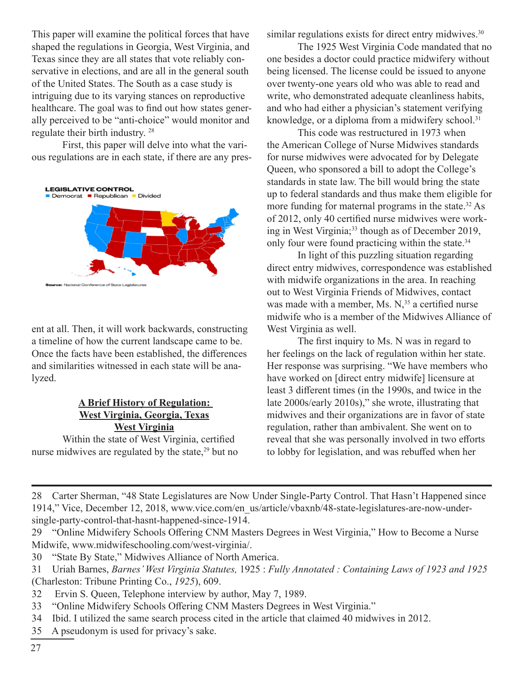This paper will examine the political forces that have shaped the regulations in Georgia, West Virginia, and Texas since they are all states that vote reliably conservative in elections, and are all in the general south of the United States. The South as a case study is intriguing due to its varying stances on reproductive healthcare. The goal was to find out how states generally perceived to be "anti-choice" would monitor and regulate their birth industry. 28

First, this paper will delve into what the various regulations are in each state, if there are any pres-



ent at all. Then, it will work backwards, constructing a timeline of how the current landscape came to be. Once the facts have been established, the differences and similarities witnessed in each state will be analyzed.

#### **A Brief History of Regulation: West Virginia, Georgia, Texas West Virginia**

Within the state of West Virginia, certified nurse midwives are regulated by the state, $29$  but no similar regulations exists for direct entry midwives.<sup>30</sup>

The 1925 West Virginia Code mandated that no one besides a doctor could practice midwifery without being licensed. The license could be issued to anyone over twenty-one years old who was able to read and write, who demonstrated adequate cleanliness habits, and who had either a physician's statement verifying knowledge, or a diploma from a midwifery school.<sup>31</sup>

This code was restructured in 1973 when the American College of Nurse Midwives standards for nurse midwives were advocated for by Delegate Queen, who sponsored a bill to adopt the College's standards in state law. The bill would bring the state up to federal standards and thus make them eligible for more funding for maternal programs in the state.<sup>32</sup> As of 2012, only 40 certified nurse midwives were working in West Virginia;<sup>33</sup> though as of December 2019, only four were found practicing within the state.<sup>34</sup>

In light of this puzzling situation regarding direct entry midwives, correspondence was established with midwife organizations in the area. In reaching out to West Virginia Friends of Midwives, contact was made with a member, Ms.  $N<sub>1</sub><sup>35</sup>$  a certified nurse midwife who is a member of the Midwives Alliance of West Virginia as well.

The first inquiry to Ms. N was in regard to her feelings on the lack of regulation within her state. Her response was surprising. "We have members who have worked on [direct entry midwife] licensure at least 3 different times (in the 1990s, and twice in the late 2000s/early 2010s)," she wrote, illustrating that midwives and their organizations are in favor of state regulation, rather than ambivalent. She went on to reveal that she was personally involved in two efforts to lobby for legislation, and was rebuffed when her

- 32 Ervin S. Queen, Telephone interview by author, May 7, 1989.
- 33 "Online Midwifery Schools Offering CNM Masters Degrees in West Virginia."
- 34 Ibid. I utilized the same search process cited in the article that claimed 40 midwives in 2012.
- 35 A pseudonym is used for privacy's sake.

<sup>28</sup> Carter Sherman, "48 State Legislatures are Now Under Single-Party Control. That Hasn't Happened since 1914," Vice, December 12, 2018, www.vice.com/en\_us/article/vbaxnb/48-state-legislatures-are-now-undersingle-party-control-that-hasnt-happened-since-1914.

<sup>29</sup> "Online Midwifery Schools Offering CNM Masters Degrees in West Virginia," How to Become a Nurse Midwife, www.midwifeschooling.com/west-virginia/.

<sup>30</sup> "State By State," Midwives Alliance of North America.

<sup>31</sup> Uriah Barnes, *Barnes' West Virginia Statutes,* 1925 : *Fully Annotated : Containing Laws of 1923 and 1925* (Charleston: Tribune Printing Co., *1925*), 609.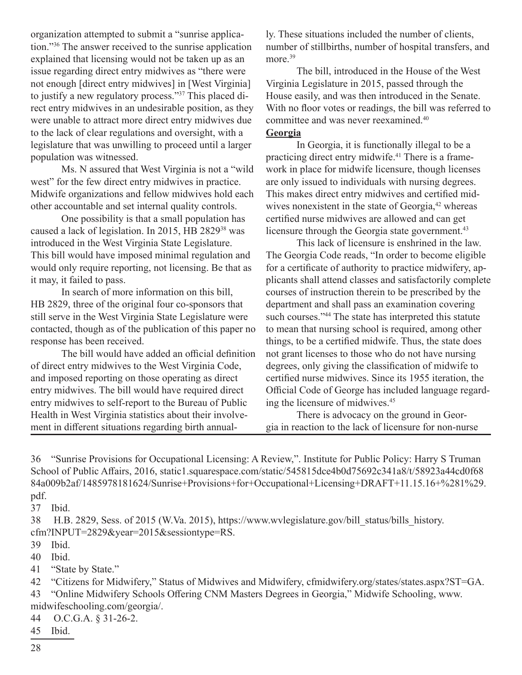organization attempted to submit a "sunrise application."36 The answer received to the sunrise application explained that licensing would not be taken up as an issue regarding direct entry midwives as "there were not enough [direct entry midwives] in [West Virginia] to justify a new regulatory process."37 This placed direct entry midwives in an undesirable position, as they were unable to attract more direct entry midwives due to the lack of clear regulations and oversight, with a legislature that was unwilling to proceed until a larger population was witnessed.

Ms. N assured that West Virginia is not a "wild west" for the few direct entry midwives in practice. Midwife organizations and fellow midwives hold each other accountable and set internal quality controls.

One possibility is that a small population has caused a lack of legislation. In 2015, HB 282938 was introduced in the West Virginia State Legislature. This bill would have imposed minimal regulation and would only require reporting, not licensing. Be that as it may, it failed to pass.

In search of more information on this bill, HB 2829, three of the original four co-sponsors that still serve in the West Virginia State Legislature were contacted, though as of the publication of this paper no response has been received.

The bill would have added an official definition of direct entry midwives to the West Virginia Code, and imposed reporting on those operating as direct entry midwives. The bill would have required direct entry midwives to self-report to the Bureau of Public Health in West Virginia statistics about their involvement in different situations regarding birth annually. These situations included the number of clients, number of stillbirths, number of hospital transfers, and more.<sup>39</sup>

The bill, introduced in the House of the West Virginia Legislature in 2015, passed through the House easily, and was then introduced in the Senate. With no floor votes or readings, the bill was referred to committee and was never reexamined.<sup>40</sup>

#### **Georgia**

In Georgia, it is functionally illegal to be a practicing direct entry midwife.41 There is a framework in place for midwife licensure, though licenses are only issued to individuals with nursing degrees. This makes direct entry midwives and certified midwives nonexistent in the state of Georgia, $42$  whereas certified nurse midwives are allowed and can get licensure through the Georgia state government.<sup>43</sup>

This lack of licensure is enshrined in the law. The Georgia Code reads, "In order to become eligible for a certificate of authority to practice midwifery, applicants shall attend classes and satisfactorily complete courses of instruction therein to be prescribed by the department and shall pass an examination covering such courses."<sup>44</sup> The state has interpreted this statute to mean that nursing school is required, among other things, to be a certified midwife. Thus, the state does not grant licenses to those who do not have nursing degrees, only giving the classification of midwife to certified nurse midwives. Since its 1955 iteration, the Official Code of George has included language regarding the licensure of midwives.<sup>45</sup>

There is advocacy on the ground in Georgia in reaction to the lack of licensure for non-nurse

36 "Sunrise Provisions for Occupational Licensing: A Review,". Institute for Public Policy: Harry S Truman School of Public Affairs, 2016, static1.squarespace.com/static/545815dce4b0d75692c341a8/t/58923a44cd0f68 84a009b2af/1485978181624/Sunrise+Provisions+for+Occupational+Licensing+DRAFT+11.15.16+%281%29. pdf.

37 Ibid.

38 H.B. 2829, Sess. of 2015 (W.Va. 2015), https://www.wvlegislature.gov/bill\_status/bills\_history. cfm?INPUT=2829&year=2015&sessiontype=RS.

39 Ibid.

40 Ibid.

41 "State by State."

42 "Citizens for Midwifery," Status of Midwives and Midwifery, cfmidwifery.org/states/states.aspx?ST=GA.

43 "Online Midwifery Schools Offering CNM Masters Degrees in Georgia," Midwife Schooling, www. midwifeschooling.com/georgia/.

44 O.C.G.A. § 31-26-2.

45 Ibid.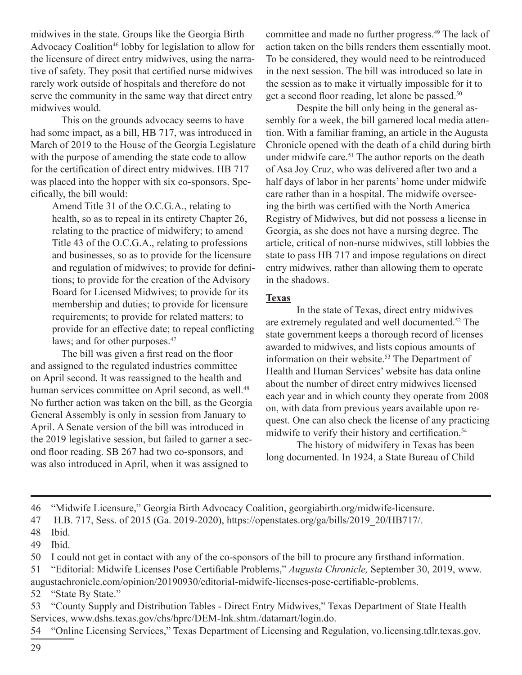midwives in the state. Groups like the Georgia Birth Advocacy Coalition<sup>46</sup> lobby for legislation to allow for the licensure of direct entry midwives, using the narrative of safety. They posit that certified nurse midwives rarely work outside of hospitals and therefore do not serve the community in the same way that direct entry midwives would.

This on the grounds advocacy seems to have had some impact, as a bill, HB 717, was introduced in March of 2019 to the House of the Georgia Legislature with the purpose of amending the state code to allow for the certification of direct entry midwives. HB 717 was placed into the hopper with six co-sponsors. Specifically, the bill would:

Amend Title 31 of the O.C.G.A., relating to health, so as to repeal in its entirety Chapter 26, relating to the practice of midwifery; to amend Title 43 of the O.C.G.A., relating to professions and businesses, so as to provide for the licensure and regulation of midwives; to provide for definitions; to provide for the creation of the Advisory Board for Licensed Midwives; to provide for its membership and duties; to provide for licensure requirements; to provide for related matters; to provide for an effective date; to repeal conflicting laws; and for other purposes.<sup>47</sup>

The bill was given a first read on the floor and assigned to the regulated industries committee on April second. It was reassigned to the health and human services committee on April second, as well.<sup>48</sup> No further action was taken on the bill, as the Georgia General Assembly is only in session from January to April. A Senate version of the bill was introduced in the 2019 legislative session, but failed to garner a second floor reading. SB 267 had two co-sponsors, and was also introduced in April, when it was assigned to

committee and made no further progress.<sup>49</sup> The lack of action taken on the bills renders them essentially moot. To be considered, they would need to be reintroduced in the next session. The bill was introduced so late in the session as to make it virtually impossible for it to get a second floor reading, let alone be passed.<sup>50</sup>

Despite the bill only being in the general assembly for a week, the bill garnered local media attention. With a familiar framing, an article in the Augusta Chronicle opened with the death of a child during birth under midwife care.<sup>51</sup> The author reports on the death of Asa Joy Cruz, who was delivered after two and a half days of labor in her parents' home under midwife care rather than in a hospital. The midwife overseeing the birth was certified with the North America Registry of Midwives, but did not possess a license in Georgia, as she does not have a nursing degree. The article, critical of non-nurse midwives, still lobbies the state to pass HB 717 and impose regulations on direct entry midwives, rather than allowing them to operate in the shadows.

#### **Texas**

In the state of Texas, direct entry midwives are extremely regulated and well documented.<sup>52</sup> The state government keeps a thorough record of licenses awarded to midwives, and lists copious amounts of information on their website.<sup>53</sup> The Department of Health and Human Services' website has data online about the number of direct entry midwives licensed each year and in which county they operate from 2008 on, with data from previous years available upon request. One can also check the license of any practicing midwife to verify their history and certification.<sup>54</sup>

The history of midwifery in Texas has been long documented. In 1924, a State Bureau of Child

augustachronicle.com/opinion/20190930/editorial-midwife-licenses-pose-certifiable-problems. 52 "State By State."

53 "County Supply and Distribution Tables - Direct Entry Midwives," Texas Department of State Health Services, www.dshs.texas.gov/chs/hprc/DEM-lnk.shtm./datamart/login.do.

54 "Online Licensing Services," Texas Department of Licensing and Regulation, vo.licensing.tdlr.texas.gov.

<sup>46</sup> "Midwife Licensure," Georgia Birth Advocacy Coalition, georgiabirth.org/midwife-licensure.

<sup>47</sup> H.B. 717, Sess. of 2015 (Ga. 2019-2020), https://openstates.org/ga/bills/2019\_20/HB717/.

<sup>48</sup> Ibid.

<sup>49</sup> Ibid.

<sup>50</sup> I could not get in contact with any of the co-sponsors of the bill to procure any firsthand information.

<sup>51</sup> "Editorial: Midwife Licenses Pose Certifiable Problems," *Augusta Chronicle,* September 30, 2019, www.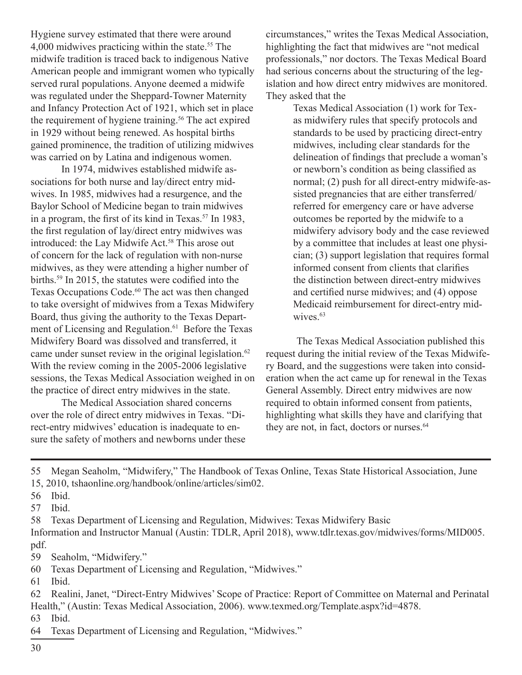Hygiene survey estimated that there were around 4,000 midwives practicing within the state.<sup>55</sup> The midwife tradition is traced back to indigenous Native American people and immigrant women who typically served rural populations. Anyone deemed a midwife was regulated under the Sheppard-Towner Maternity and Infancy Protection Act of 1921, which set in place the requirement of hygiene training.<sup>56</sup> The act expired in 1929 without being renewed. As hospital births gained prominence, the tradition of utilizing midwives was carried on by Latina and indigenous women.

In 1974, midwives established midwife associations for both nurse and lay/direct entry midwives. In 1985, midwives had a resurgence, and the Baylor School of Medicine began to train midwives in a program, the first of its kind in Texas.<sup>57</sup> In 1983, the first regulation of lay/direct entry midwives was introduced: the Lay Midwife Act.<sup>58</sup> This arose out of concern for the lack of regulation with non-nurse midwives, as they were attending a higher number of births.59 In 2015, the statutes were codified into the Texas Occupations Code.<sup>60</sup> The act was then changed to take oversight of midwives from a Texas Midwifery Board, thus giving the authority to the Texas Department of Licensing and Regulation.<sup>61</sup> Before the Texas Midwifery Board was dissolved and transferred, it came under sunset review in the original legislation.<sup>62</sup> With the review coming in the 2005-2006 legislative sessions, the Texas Medical Association weighed in on the practice of direct entry midwives in the state.

The Medical Association shared concerns over the role of direct entry midwives in Texas. "Direct-entry midwives' education is inadequate to ensure the safety of mothers and newborns under these

circumstances," writes the Texas Medical Association, highlighting the fact that midwives are "not medical professionals," nor doctors. The Texas Medical Board had serious concerns about the structuring of the legislation and how direct entry midwives are monitored. They asked that the

> Texas Medical Association (1) work for Texas midwifery rules that specify protocols and standards to be used by practicing direct-entry midwives, including clear standards for the delineation of findings that preclude a woman's or newborn's condition as being classified as normal; (2) push for all direct-entry midwife-assisted pregnancies that are either transferred/ referred for emergency care or have adverse outcomes be reported by the midwife to a midwifery advisory body and the case reviewed by a committee that includes at least one physician; (3) support legislation that requires formal informed consent from clients that clarifies the distinction between direct-entry midwives and certified nurse midwives; and (4) oppose Medicaid reimbursement for direct-entry midwives.<sup>63</sup>

The Texas Medical Association published this request during the initial review of the Texas Midwifery Board, and the suggestions were taken into consideration when the act came up for renewal in the Texas General Assembly. Direct entry midwives are now required to obtain informed consent from patients, highlighting what skills they have and clarifying that they are not, in fact, doctors or nurses.<sup>64</sup>

55 Megan Seaholm, "Midwifery," The Handbook of Texas Online, Texas State Historical Association, June 15, 2010, tshaonline.org/handbook/online/articles/sim02.

57 Ibid.

58 Texas Department of Licensing and Regulation, Midwives: Texas Midwifery Basic

Information and Instructor Manual (Austin: TDLR, April 2018), www.tdlr.texas.gov/midwives/forms/MID005. pdf.

- 59 Seaholm, "Midwifery."
- 60 Texas Department of Licensing and Regulation, "Midwives."
- 61 Ibid.

62 Realini, Janet, "Direct-Entry Midwives' Scope of Practice: Report of Committee on Maternal and Perinatal Health," (Austin: Texas Medical Association, 2006). www.texmed.org/Template.aspx?id=4878.

63 Ibid.

64 Texas Department of Licensing and Regulation, "Midwives."

<sup>56</sup> Ibid.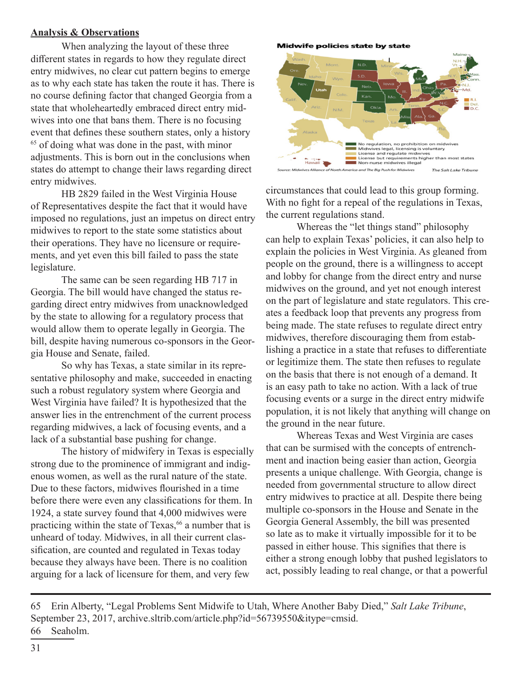#### **Analysis & Observations**

When analyzing the layout of these three different states in regards to how they regulate direct entry midwives, no clear cut pattern begins to emerge as to why each state has taken the route it has. There is no course defining factor that changed Georgia from a state that wholeheartedly embraced direct entry midwives into one that bans them. There is no focusing event that defines these southern states, only a history <sup>65</sup> of doing what was done in the past, with minor adjustments. This is born out in the conclusions when states do attempt to change their laws regarding direct entry midwives.

HB 2829 failed in the West Virginia House of Representatives despite the fact that it would have imposed no regulations, just an impetus on direct entry midwives to report to the state some statistics about their operations. They have no licensure or requirements, and yet even this bill failed to pass the state legislature.

The same can be seen regarding HB 717 in Georgia. The bill would have changed the status regarding direct entry midwives from unacknowledged by the state to allowing for a regulatory process that would allow them to operate legally in Georgia. The bill, despite having numerous co-sponsors in the Georgia House and Senate, failed.

So why has Texas, a state similar in its representative philosophy and make, succeeded in enacting such a robust regulatory system where Georgia and West Virginia have failed? It is hypothesized that the answer lies in the entrenchment of the current process regarding midwives, a lack of focusing events, and a lack of a substantial base pushing for change.

The history of midwifery in Texas is especially strong due to the prominence of immigrant and indigenous women, as well as the rural nature of the state. Due to these factors, midwives flourished in a time before there were even any classifications for them. In 1924, a state survey found that 4,000 midwives were practicing within the state of Texas,  $66$  a number that is unheard of today. Midwives, in all their current classification, are counted and regulated in Texas today because they always have been. There is no coalition arguing for a lack of licensure for them, and very few

**Midwife policies state by state** 



circumstances that could lead to this group forming. With no fight for a repeal of the regulations in Texas, the current regulations stand.

Whereas the "let things stand" philosophy can help to explain Texas' policies, it can also help to explain the policies in West Virginia. As gleaned from people on the ground, there is a willingness to accept and lobby for change from the direct entry and nurse midwives on the ground, and yet not enough interest on the part of legislature and state regulators. This creates a feedback loop that prevents any progress from being made. The state refuses to regulate direct entry midwives, therefore discouraging them from establishing a practice in a state that refuses to differentiate or legitimize them. The state then refuses to regulate on the basis that there is not enough of a demand. It is an easy path to take no action. With a lack of true focusing events or a surge in the direct entry midwife population, it is not likely that anything will change on the ground in the near future.

Whereas Texas and West Virginia are cases that can be surmised with the concepts of entrenchment and inaction being easier than action, Georgia presents a unique challenge. With Georgia, change is needed from governmental structure to allow direct entry midwives to practice at all. Despite there being multiple co-sponsors in the House and Senate in the Georgia General Assembly, the bill was presented so late as to make it virtually impossible for it to be passed in either house. This signifies that there is either a strong enough lobby that pushed legislators to act, possibly leading to real change, or that a powerful

65 Erin Alberty, "Legal Problems Sent Midwife to Utah, Where Another Baby Died," *Salt Lake Tribune*, September 23, 2017, archive.sltrib.com/article.php?id=56739550&itype=cmsid. 66 Seaholm.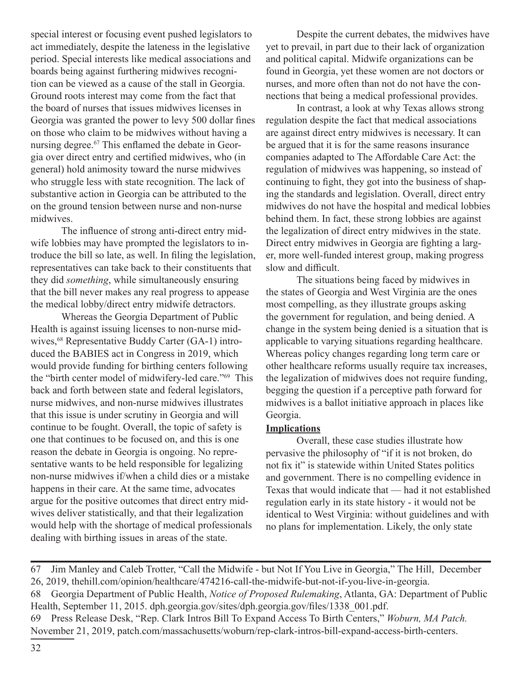special interest or focusing event pushed legislators to act immediately, despite the lateness in the legislative period. Special interests like medical associations and boards being against furthering midwives recognition can be viewed as a cause of the stall in Georgia. Ground roots interest may come from the fact that the board of nurses that issues midwives licenses in Georgia was granted the power to levy 500 dollar fines on those who claim to be midwives without having a nursing degree.67 This enflamed the debate in Georgia over direct entry and certified midwives, who (in general) hold animosity toward the nurse midwives who struggle less with state recognition. The lack of substantive action in Georgia can be attributed to the on the ground tension between nurse and non-nurse midwives.

The influence of strong anti-direct entry midwife lobbies may have prompted the legislators to introduce the bill so late, as well. In filing the legislation, representatives can take back to their constituents that they did *something*, while simultaneously ensuring that the bill never makes any real progress to appease the medical lobby/direct entry midwife detractors.

Whereas the Georgia Department of Public Health is against issuing licenses to non-nurse midwives,<sup>68</sup> Representative Buddy Carter (GA-1) introduced the BABIES act in Congress in 2019, which would provide funding for birthing centers following the "birth center model of midwifery-led care."69 This back and forth between state and federal legislators, nurse midwives, and non-nurse midwives illustrates that this issue is under scrutiny in Georgia and will continue to be fought. Overall, the topic of safety is one that continues to be focused on, and this is one reason the debate in Georgia is ongoing. No representative wants to be held responsible for legalizing non-nurse midwives if/when a child dies or a mistake happens in their care. At the same time, advocates argue for the positive outcomes that direct entry midwives deliver statistically, and that their legalization would help with the shortage of medical professionals dealing with birthing issues in areas of the state.

Despite the current debates, the midwives have yet to prevail, in part due to their lack of organization and political capital. Midwife organizations can be found in Georgia, yet these women are not doctors or nurses, and more often than not do not have the connections that being a medical professional provides.

In contrast, a look at why Texas allows strong regulation despite the fact that medical associations are against direct entry midwives is necessary. It can be argued that it is for the same reasons insurance companies adapted to The Affordable Care Act: the regulation of midwives was happening, so instead of continuing to fight, they got into the business of shaping the standards and legislation. Overall, direct entry midwives do not have the hospital and medical lobbies behind them. In fact, these strong lobbies are against the legalization of direct entry midwives in the state. Direct entry midwives in Georgia are fighting a larger, more well-funded interest group, making progress slow and difficult.

The situations being faced by midwives in the states of Georgia and West Virginia are the ones most compelling, as they illustrate groups asking the government for regulation, and being denied. A change in the system being denied is a situation that is applicable to varying situations regarding healthcare. Whereas policy changes regarding long term care or other healthcare reforms usually require tax increases, the legalization of midwives does not require funding, begging the question if a perceptive path forward for midwives is a ballot initiative approach in places like Georgia.

#### **Implications**

Overall, these case studies illustrate how pervasive the philosophy of "if it is not broken, do not fix it" is statewide within United States politics and government. There is no compelling evidence in Texas that would indicate that — had it not established regulation early in its state history - it would not be identical to West Virginia: without guidelines and with no plans for implementation. Likely, the only state

67 Jim Manley and Caleb Trotter, "Call the Midwife - but Not If You Live in Georgia," The Hill, December 26, 2019, thehill.com/opinion/healthcare/474216-call-the-midwife-but-not-if-you-live-in-georgia. 68 Georgia Department of Public Health, *Notice of Proposed Rulemaking*, Atlanta, GA: Department of Public Health, September 11, 2015. dph.georgia.gov/sites/dph.georgia.gov/files/1338\_001.pdf. 69 Press Release Desk, "Rep. Clark Intros Bill To Expand Access To Birth Centers," *Woburn, MA Patch.* November 21, 2019, patch.com/massachusetts/woburn/rep-clark-intros-bill-expand-access-birth-centers.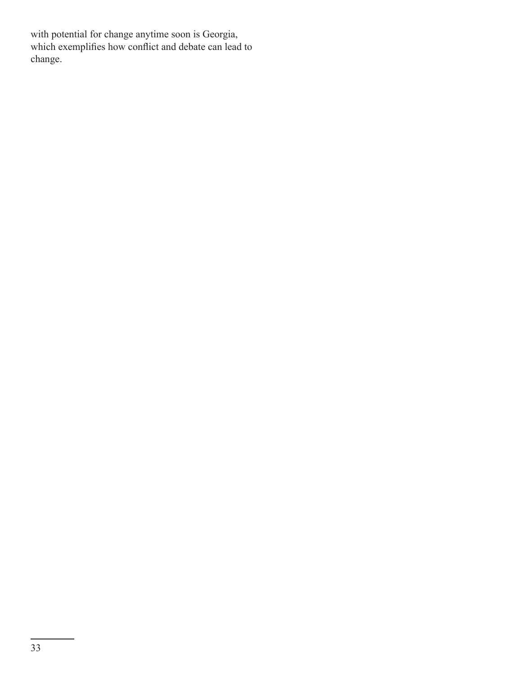with potential for change anytime soon is Georgia, which exemplifies how conflict and debate can lead to change.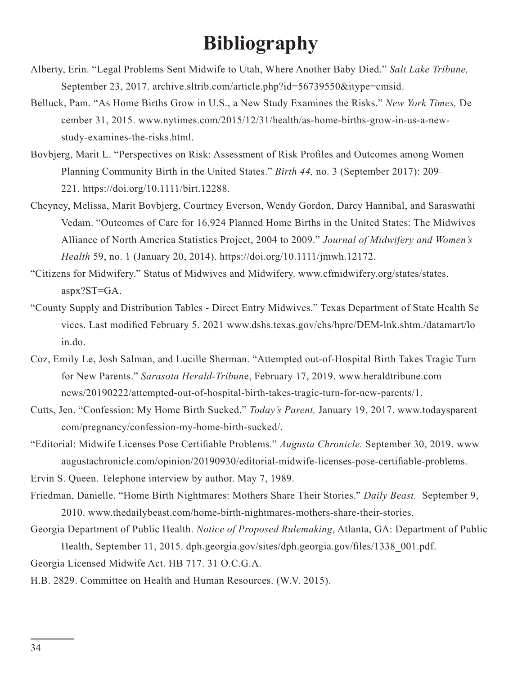# **Bibliography**

- Alberty, Erin. "Legal Problems Sent Midwife to Utah, Where Another Baby Died." *Salt Lake Tribune,* September 23, 2017. archive.sltrib.com/article.php?id=56739550&itype=cmsid.
- Belluck, Pam. "As Home Births Grow in U.S., a New Study Examines the Risks." *New York Times,* De cember 31, 2015. www.nytimes.com/2015/12/31/health/as-home-births-grow-in-us-a-newstudy-examines-the-risks.html.
- Bovbjerg, Marit L. "Perspectives on Risk: Assessment of Risk Profiles and Outcomes among Women Planning Community Birth in the United States." *Birth 44,* no. 3 (September 2017): 209– 221. https://doi.org/10.1111/birt.12288.
- Cheyney, Melissa, Marit Bovbjerg, Courtney Everson, Wendy Gordon, Darcy Hannibal, and Saraswathi Vedam. "Outcomes of Care for 16,924 Planned Home Births in the United States: The Midwives Alliance of North America Statistics Project, 2004 to 2009." *Journal of Midwifery and Women's Health* 59, no. 1 (January 20, 2014). https://doi.org/10.1111/jmwh.12172.
- "Citizens for Midwifery." Status of Midwives and Midwifery. www.cfmidwifery.org/states/states. aspx?ST=GA.
- "County Supply and Distribution Tables Direct Entry Midwives." Texas Department of State Health Se vices. Last modified February 5. 2021 www.dshs.texas.gov/chs/hprc/DEM-lnk.shtm./datamart/lo in.do.
- Coz, Emily Le, Josh Salman, and Lucille Sherman. "Attempted out-of-Hospital Birth Takes Tragic Turn for New Parents." *Sarasota Herald-Tribun*e, February 17, 2019. www.heraldtribune.com news/20190222/attempted-out-of-hospital-birth-takes-tragic-turn-for-new-parents/1.
- Cutts, Jen. "Confession: My Home Birth Sucked." *Today's Parent,* January 19, 2017. www.todaysparent com/pregnancy/confession-my-home-birth-sucked/.
- "Editorial: Midwife Licenses Pose Certifiable Problems." *Augusta Chronicle.* September 30, 2019. www augustachronicle.com/opinion/20190930/editorial-midwife-licenses-pose-certifiable-problems.

Ervin S. Queen. Telephone interview by author. May 7, 1989.

- Friedman, Danielle. "Home Birth Nightmares: Mothers Share Their Stories." *Daily Beast.* September 9, 2010. www.thedailybeast.com/home-birth-nightmares-mothers-share-their-stories.
- Georgia Department of Public Health. *Notice of Proposed Rulemaking*, Atlanta, GA: Department of Public Health, September 11, 2015. dph.georgia.gov/sites/dph.georgia.gov/files/1338\_001.pdf.
- Georgia Licensed Midwife Act. HB 717. 31 O.C.G.A.
- H.B. 2829. Committee on Health and Human Resources. (W.V. 2015).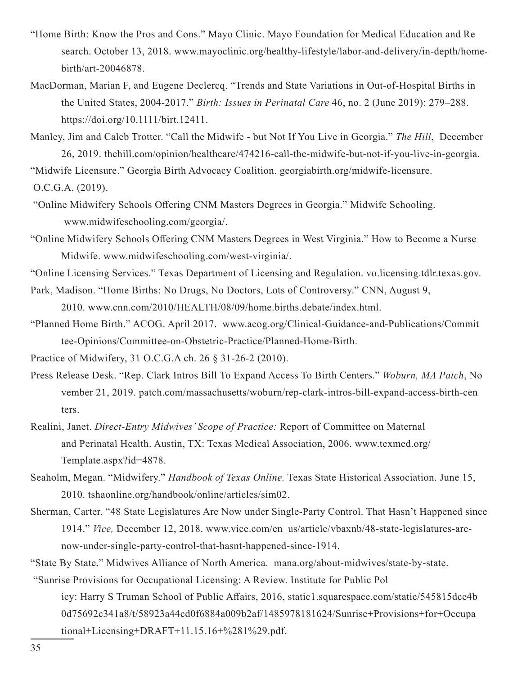- "Home Birth: Know the Pros and Cons." Mayo Clinic. Mayo Foundation for Medical Education and Re search. October 13, 2018. www.mayoclinic.org/healthy-lifestyle/labor-and-delivery/in-depth/homebirth/art-20046878.
- MacDorman, Marian F, and Eugene Declercq. "Trends and State Variations in Out-of-Hospital Births in the United States, 2004-2017." *Birth: Issues in Perinatal Care* 46, no. 2 (June 2019): 279–288. https://doi.org/10.1111/birt.12411.
- Manley, Jim and Caleb Trotter. "Call the Midwife but Not If You Live in Georgia." *The Hill*, December 26, 2019. thehill.com/opinion/healthcare/474216-call-the-midwife-but-not-if-you-live-in-georgia.

"Midwife Licensure." Georgia Birth Advocacy Coalition. georgiabirth.org/midwife-licensure.

O.C.G.A. (2019).

- "Online Midwifery Schools Offering CNM Masters Degrees in Georgia." Midwife Schooling. www.midwifeschooling.com/georgia/.
- "Online Midwifery Schools Offering CNM Masters Degrees in West Virginia." How to Become a Nurse Midwife. www.midwifeschooling.com/west-virginia/.

"Online Licensing Services." Texas Department of Licensing and Regulation. vo.licensing.tdlr.texas.gov.

Park, Madison. "Home Births: No Drugs, No Doctors, Lots of Controversy." CNN, August 9,

2010. www.cnn.com/2010/HEALTH/08/09/home.births.debate/index.html.

"Planned Home Birth." ACOG. April 2017. www.acog.org/Clinical-Guidance-and-Publications/Commit tee-Opinions/Committee-on-Obstetric-Practice/Planned-Home-Birth.

Practice of Midwifery, 31 O.C.G.A ch. 26 § 31-26-2 (2010).

- Press Release Desk. "Rep. Clark Intros Bill To Expand Access To Birth Centers." *Woburn, MA Patch*, No vember 21, 2019. patch.com/massachusetts/woburn/rep-clark-intros-bill-expand-access-birth-cen ters.
- Realini, Janet. *Direct-Entry Midwives' Scope of Practice:* Report of Committee on Maternal and Perinatal Health. Austin, TX: Texas Medical Association, 2006. www.texmed.org/ Template.aspx?id=4878.
- Seaholm, Megan. "Midwifery." *Handbook of Texas Online.* Texas State Historical Association. June 15, 2010. tshaonline.org/handbook/online/articles/sim02.
- Sherman, Carter. "48 State Legislatures Are Now under Single-Party Control. That Hasn't Happened since 1914." *Vice,* December 12, 2018. www.vice.com/en\_us/article/vbaxnb/48-state-legislatures-arenow-under-single-party-control-that-hasnt-happened-since-1914.
- "State By State." Midwives Alliance of North America. mana.org/about-midwives/state-by-state.

"Sunrise Provisions for Occupational Licensing: A Review. Institute for Public Pol

icy: Harry S Truman School of Public Affairs, 2016, static1.squarespace.com/static/545815dce4b 0d75692c341a8/t/58923a44cd0f6884a009b2af/1485978181624/Sunrise+Provisions+for+Occupa tional+Licensing+DRAFT+11.15.16+%281%29.pdf.